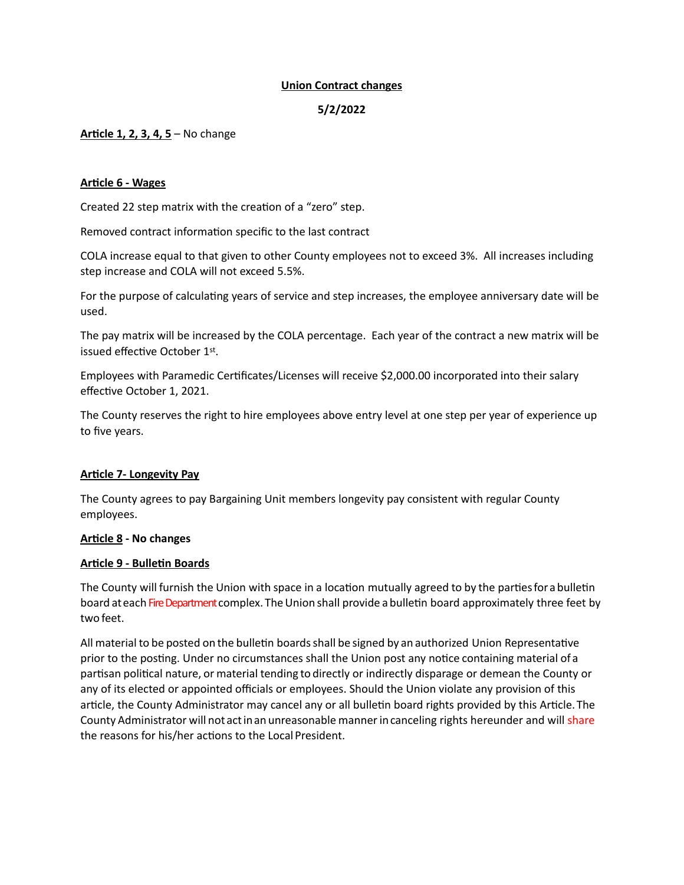# **Union Contract changes**

# **5/2/2022**

# **Article 1, 2, 3, 4, 5** – No change

### **Article 6 - Wages**

Created 22 step matrix with the creation of a "zero" step.

Removed contract information specific to the last contract

COLA increase equal to that given to other County employees not to exceed 3%. All increases including step increase and COLA will not exceed 5.5%.

For the purpose of calculating years of service and step increases, the employee anniversary date will be used.

The pay matrix will be increased by the COLA percentage. Each year of the contract a new matrix will be issued effective October 1st.

Employees with Paramedic Certificates/Licenses will receive \$2,000.00 incorporated into their salary effective October 1, 2021.

The County reserves the right to hire employees above entry level at one step per year of experience up to five years.

#### **Article 7- Longevity Pay**

The County agrees to pay Bargaining Unit members longevity pay consistent with regular County employees.

#### **Article 8 - No changes**

#### **Article 9 - Bulletin Boards**

The County will furnish the Union with space in a location mutually agreed to by the partiesfor a bulletin board at each Fire Department complex. The Union shall provide a bulletin board approximately three feet by two feet.

All material to be posted on the bulletin boardsshall be signed by an authorized Union Representative prior to the posting. Under no circumstances shall the Union post any notice containing material of a partisan political nature, or material tending to directly or indirectly disparage or demean the County or any of its elected or appointed officials or employees. Should the Union violate any provision of this article, the County Administrator may cancel any or all bulletin board rights provided by this Article.The County Administrator will not act in an unreasonable manner in canceling rights hereunder and will share the reasons for his/her actions to the LocalPresident.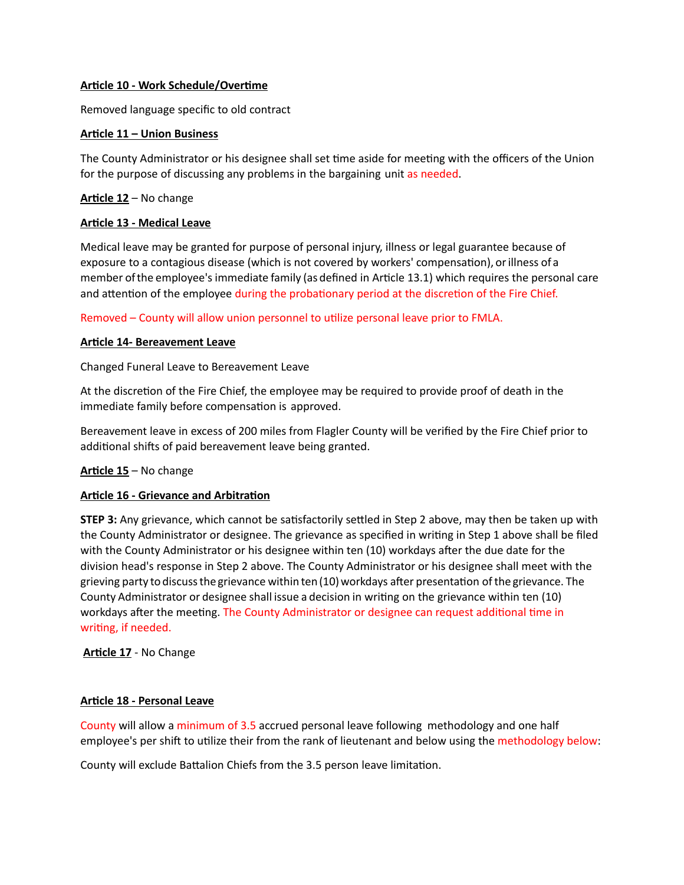# **Article 10 - Work Schedule/Overtime**

Removed language specific to old contract

### **Article 11 – Union Business**

The County Administrator or his designee shall set time aside for meeting with the officers of the Union for the purpose of discussing any problems in the bargaining unit as needed.

# **Article 12** – No change

#### **Article 13 - Medical Leave**

Medical leave may be granted for purpose of personal injury, illness or legal guarantee because of exposure to a contagious disease (which is not covered by workers' compensation), orillness of a member ofthe employee's immediate family (as defined in Article 13.1) which requires the personal care and attention of the employee during the probationary period at the discretion of the Fire Chief.

Removed – County will allow union personnel to utilize personal leave prior to FMLA.

### **Article 14- Bereavement Leave**

Changed Funeral Leave to Bereavement Leave

At the discretion of the Fire Chief, the employee may be required to provide proof of death in the immediate family before compensation is approved.

Bereavement leave in excess of 200 miles from Flagler County will be verified by the Fire Chief prior to additional shifts of paid bereavement leave being granted.

# **Article 15** – No change

# **Article 16 - Grievance and Arbitration**

**STEP 3:** Any grievance, which cannot be satisfactorily settled in Step 2 above, may then be taken up with the County Administrator or designee. The grievance as specified in writing in Step 1 above shall be filed with the County Administrator or his designee within ten (10) workdays after the due date for the division head's response in Step 2 above. The County Administrator or his designee shall meet with the grieving party to discussthegrievance within ten(10)workdays after presentation ofthe grievance. The County Administrator or designee shall issue a decision in writing on the grievance within ten (10) workdays after the meeting. The County Administrator or designee can request additional time in writing, if needed.

**Article 17** - No Change

#### **Article 18 - Personal Leave**

County will allow a minimum of 3.5 accrued personal leave following methodology and one half employee's per shift to utilize their from the rank of lieutenant and below using the methodology below:

County will exclude Battalion Chiefs from the 3.5 person leave limitation.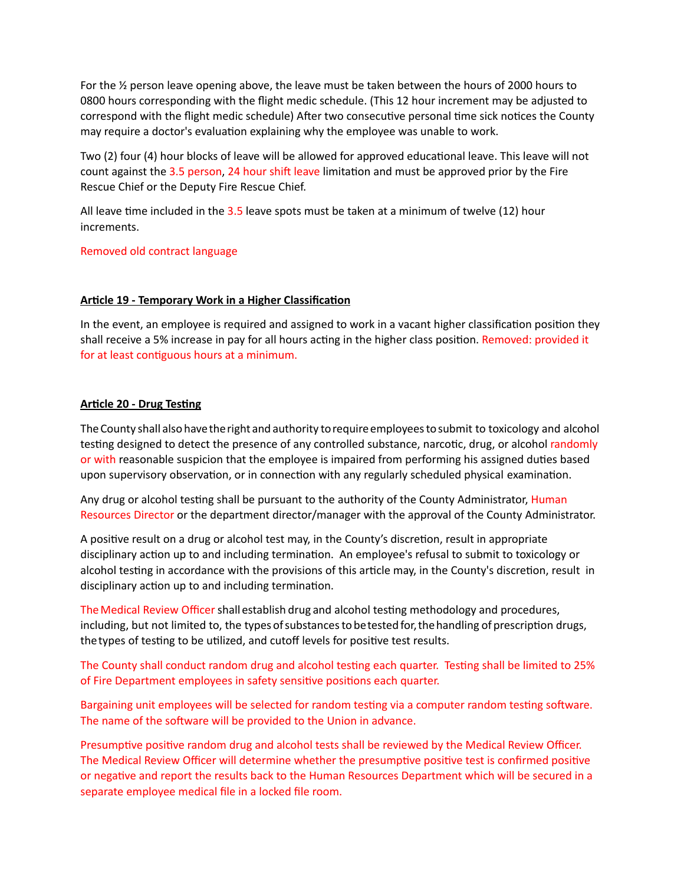For the  $\frac{1}{2}$  person leave opening above, the leave must be taken between the hours of 2000 hours to 0800 hours corresponding with the flight medic schedule. (This 12 hour increment may be adjusted to correspond with the flight medic schedule) After two consecutive personal time sick notices the County may require a doctor's evaluation explaining why the employee was unable to work.

Two (2) four (4) hour blocks of leave will be allowed for approved educational leave. This leave will not count against the 3.5 person, 24 hour shift leave limitation and must be approved prior by the Fire Rescue Chief or the Deputy Fire Rescue Chief.

All leave time included in the 3.5 leave spots must be taken at a minimum of twelve (12) hour increments.

Removed old contract language

### **Article 19 - Temporary Work in a Higher Classification**

In the event, an employee is required and assigned to work in a vacant higher classification position they shall receive a 5% increase in pay for all hours acting in the higher class position. Removed: provided it for at least contiguous hours at a minimum.

### **Article 20 - Drug Testing**

The County shall also have the right and authority to require employees to submit to toxicology and alcohol testing designed to detect the presence of any controlled substance, narcotic, drug, or alcohol randomly or with reasonable suspicion that the employee is impaired from performing his assigned duties based upon supervisory observation, or in connection with any regularly scheduled physical examination.

Any drug or alcohol testing shall be pursuant to the authority of the County Administrator, Human Resources Director or the department director/manager with the approval of the County Administrator.

A positive result on a drug or alcohol test may, in the County's discretion, result in appropriate disciplinary action up to and including termination. An employee's refusal to submit to toxicology or alcohol testing in accordance with the provisions of this article may, in the County's discretion, result in disciplinary action up to and including termination.

TheMedical Review Officer shall establish drug and alcohol testing methodology and procedures, including, but not limited to, the types of substances to be tested for, the handling of prescription drugs, thetypes of testing to be utilized, and cutoff levels for positive test results.

The County shall conduct random drug and alcohol testing each quarter. Testing shall be limited to 25% of Fire Department employees in safety sensitive positions each quarter.

Bargaining unit employees will be selected for random testing via a computer random testing software. The name of the software will be provided to the Union in advance.

Presumptive positive random drug and alcohol tests shall be reviewed by the Medical Review Officer. The Medical Review Officer will determine whether the presumptive positive test is confirmed positive or negative and report the results back to the Human Resources Department which will be secured in a separate employee medical file in a locked file room.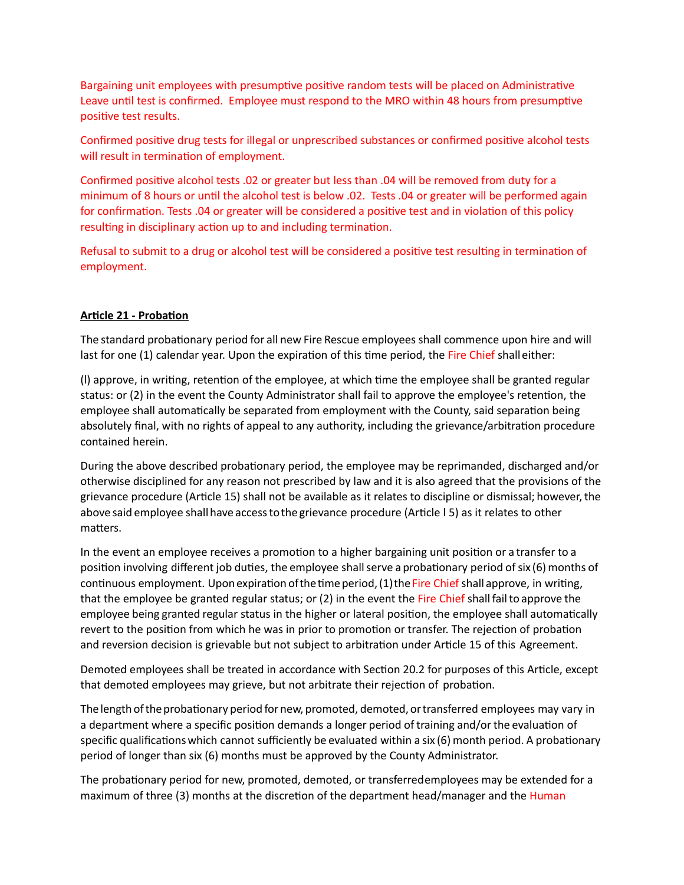Bargaining unit employees with presumptive positive random tests will be placed on Administrative Leave until test is confirmed. Employee must respond to the MRO within 48 hours from presumptive positive test results.

Confirmed positive drug tests for illegal or unprescribed substances or confirmed positive alcohol tests will result in termination of employment.

Confirmed positive alcohol tests .02 or greater but less than .04 will be removed from duty for a minimum of 8 hours or until the alcohol test is below .02. Tests .04 or greater will be performed again for confirmation. Tests .04 or greater will be considered a positive test and in violation of this policy resulting in disciplinary action up to and including termination.

Refusal to submit to a drug or alcohol test will be considered a positive test resulting in termination of employment.

# **Article 21 - Probation**

The standard probationary period for all new Fire Rescue employees shall commence upon hire and will last for one (1) calendar year. Upon the expiration of this time period, the Fire Chief shall either:

(l) approve, in writing, retention of the employee, at which time the employee shall be granted regular status: or (2) in the event the County Administrator shall fail to approve the employee's retention, the employee shall automatically be separated from employment with the County, said separation being absolutely final, with no rights of appeal to any authority, including the grievance/arbitration procedure contained herein.

During the above described probationary period, the employee may be reprimanded, discharged and/or otherwise disciplined for any reason not prescribed by law and it is also agreed that the provisions of the grievance procedure (Article 15) shall not be available as it relates to discipline or dismissal; however, the above said employee shall have access to the grievance procedure (Article I 5) as it relates to other matters.

In the event an employee receives a promotion to a higher bargaining unit position or a transfer to a position involving different job duties, the employee shall serve a probationary period of six (6) months of continuous employment. Upon expiration of the time period, (1) the Fire Chief shall approve, in writing, that the employee be granted regular status; or (2) in the event the Fire Chief shall fail to approve the employee being granted regular status in the higher or lateral position, the employee shall automatically revert to the position from which he was in prior to promotion or transfer. The rejection of probation and reversion decision is grievable but not subject to arbitration under Article 15 of this Agreement.

Demoted employees shall be treated in accordance with Section 20.2 for purposes of this Article, except that demoted employees may grieve, but not arbitrate their rejection of probation.

Thelength oftheprobationary period fornew, promoted, demoted, ortransferred employees may vary in a department where a specific position demands a longer period of training and/or the evaluation of specific qualificationswhich cannot sufficiently be evaluated within a six (6) month period. A probationary period of longer than six (6) months must be approved by the County Administrator.

The probationary period for new, promoted, demoted, or transferredemployees may be extended for a maximum of three (3) months at the discretion of the department head/manager and the Human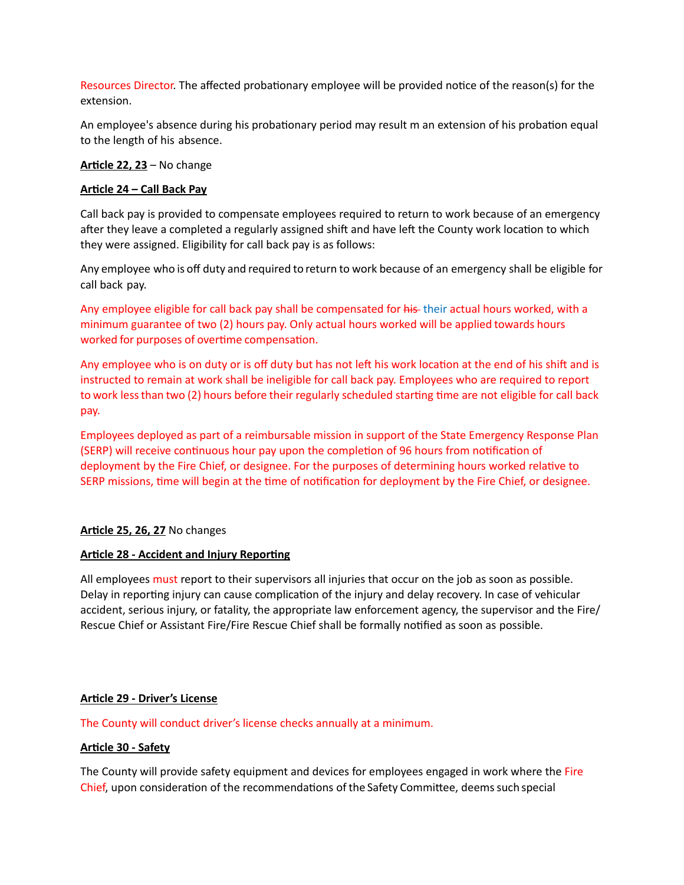Resources Director. The affected probationary employee will be provided notice of the reason(s) for the extension.

An employee's absence during his probationary period may result m an extension of his probation equal to the length of his absence.

**Article 22, 23** – No change

# **Article 24 – Call Back Pay**

Call back pay is provided to compensate employees required to return to work because of an emergency after they leave a completed a regularly assigned shift and have left the County work location to which they were assigned. Eligibility for call back pay is as follows:

Any employee who is off duty and required to return to work because of an emergency shall be eligible for call back pay.

Any employee eligible for call back pay shall be compensated for his their actual hours worked, with a minimum guarantee of two (2) hours pay. Only actual hours worked will be applied towards hours worked for purposes of overtime compensation.

Any employee who is on duty or is off duty but has not left his work location at the end of his shift and is instructed to remain at work shall be ineligible for call back pay. Employees who are required to report to work lessthan two (2) hours before their regularly scheduled starting time are not eligible for call back pay.

Employees deployed as part of a reimbursable mission in support of the State Emergency Response Plan (SERP) will receive continuous hour pay upon the completion of 96 hours from notification of deployment by the Fire Chief, or designee. For the purposes of determining hours worked relative to SERP missions, time will begin at the time of notification for deployment by the Fire Chief, or designee.

# **Article 25, 26, 27** No changes

#### **Article 28 - Accident and Injury Reporting**

All employees must report to their supervisors all injuries that occur on the job as soon as possible. Delay in reporting injury can cause complication of the injury and delay recovery. In case of vehicular accident, serious injury, or fatality, the appropriate law enforcement agency, the supervisor and the Fire/ Rescue Chief or Assistant Fire/Fire Rescue Chief shall be formally notified as soon as possible.

# **Article 29 - Driver's License**

The County will conduct driver's license checks annually at a minimum.

#### **Article 30 - Safety**

The County will provide safety equipment and devices for employees engaged in work where the Fire Chief, upon consideration of the recommendations of the Safety Committee, deemssuch special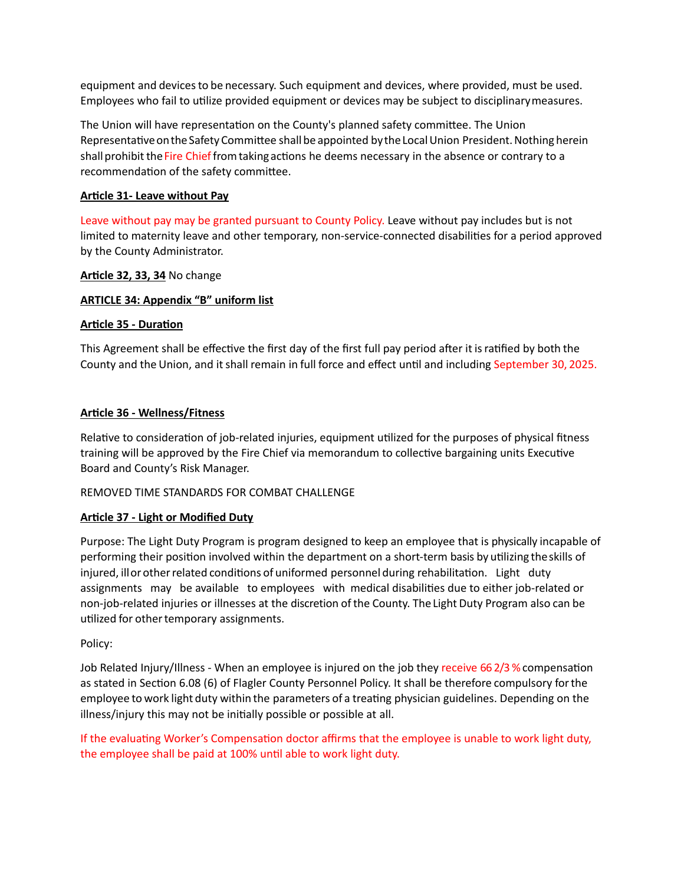equipment and devices to be necessary. Such equipment and devices, where provided, must be used. Employees who fail to utilize provided equipment or devices may be subject to disciplinarymeasures.

The Union will have representation on the County's planned safety committee. The Union Representative on the Safety Committee shall be appointed by the Local Union President. Nothing herein shall prohibit the Fire Chief from taking actions he deems necessary in the absence or contrary to a recommendation of the safety committee.

# **Article 31- Leave without Pay**

Leave without pay may be granted pursuant to County Policy. Leave without pay includes but is not limited to maternity leave and other temporary, non-service-connected disabilities for a period approved by the County Administrator.

### **Article 32, 33, 34** No change

### **ARTICLE 34: Appendix "B" uniform list**

### **Article 35 - Duration**

This Agreement shall be effective the first day of the first full pay period after it isratified by both the County and the Union, and itshall remain in full force and effect until and including September 30, 2025.

### **Article 36 - Wellness/Fitness**

Relative to consideration of job-related injuries, equipment utilized for the purposes of physical fitness training will be approved by the Fire Chief via memorandum to collective bargaining units Executive Board and County's Risk Manager.

#### REMOVED TIME STANDARDS FOR COMBAT CHALLENGE

#### **Article 37 - Light or Modified Duty**

Purpose: The Light Duty Program is program designed to keep an employee that is physically incapable of performing their position involved within the department on a short-term basis by utilizing theskills of injured, illor otherrelated conditions of uniformed personnel during rehabilitation. Light duty assignments may be available to employees with medical disabilities due to either job-related or non-job-related injuries or illnesses at the discretion ofthe County. The Light Duty Program also can be utilized for other temporary assignments.

#### Policy:

Job Related Injury/Illness - When an employee is injured on the job they receive 66 2/3 % compensation as stated in Section 6.08 (6) of Flagler County Personnel Policy. It shall be therefore compulsory forthe employee to work light duty within the parameters of a treating physician guidelines. Depending on the illness/injury this may not be initially possible or possible at all.

If the evaluating Worker's Compensation doctor affirms that the employee is unable to work light duty, the employee shall be paid at 100% until able to work light duty.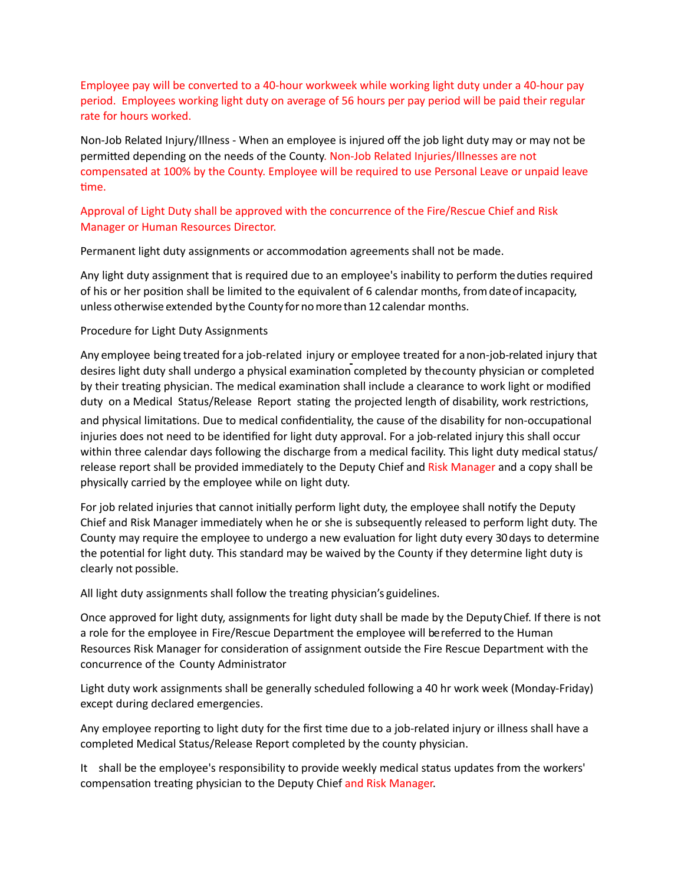Employee pay will be converted to a 40-hour workweek while working light duty under a 40-hour pay period. Employees working light duty on average of 56 hours per pay period will be paid their regular rate for hours worked.

Non-Job Related Injury/Illness - When an employee is injured off the job light duty may or may not be permitted depending on the needs of the County. Non-Job Related Injuries/Illnesses are not compensated at 100% by the County. Employee will be required to use Personal Leave or unpaid leave time.

# Approval of Light Duty shall be approved with the concurrence of the Fire/Rescue Chief and Risk Manager or Human Resources Director.

Permanent light duty assignments or accommodation agreements shall not be made.

Any light duty assignment that is required due to an employee's inability to perform the duties required of his or her position shall be limited to the equivalent of 6 calendar months, fromdateofincapacity, unless otherwise extended by the County for no more than 12 calendar months.

### Procedure for Light Duty Assignments

Any employee being treated for a job-related injury or employee treated for anon-job-related injury that desires light duty shall undergo a physical examination completed by thecounty physician or completed by their treating physician. The medical examination shall include a clearance to work light or modified duty on a Medical Status/Release Report stating the projected length of disability, work restrictions,

and physical limitations. Due to medical confidentiality, the cause of the disability for non-occupational injuries does not need to be identified for light duty approval. For a job-related injury this shall occur within three calendar days following the discharge from a medical facility. This light duty medical status/ release report shall be provided immediately to the Deputy Chief and Risk Manager and a copy shall be physically carried by the employee while on light duty.

For job related injuries that cannot initially perform light duty, the employee shall notify the Deputy Chief and Risk Manager immediately when he or she is subsequently released to perform light duty. The County may require the employee to undergo a new evaluation for light duty every 30 days to determine the potential for light duty. This standard may be waived by the County if they determine light duty is clearly not possible.

All light duty assignments shall follow the treating physician's guidelines.

Once approved for light duty, assignments for light duty shall be made by the DeputyChief. If there is not a role for the employee in Fire/Rescue Department the employee will be referred to the Human Resources Risk Manager for consideration of assignment outside the Fire Rescue Department with the concurrence of the County Administrator

Light duty work assignments shall be generally scheduled following a 40 hr work week (Monday-Friday) except during declared emergencies.

Any employee reporting to light duty for the first time due to a job-related injury or illness shall have a completed Medical Status/Release Report completed by the county physician.

It shall be the employee's responsibility to provide weekly medical status updates from the workers' compensation treating physician to the Deputy Chief and Risk Manager.